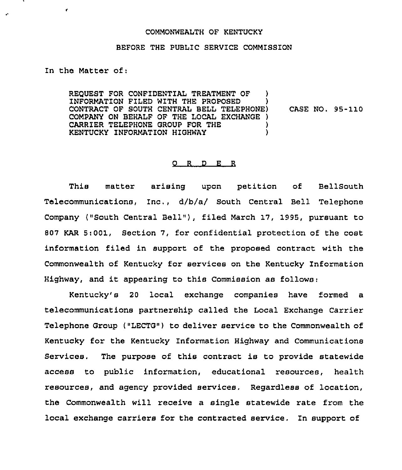## COMMONWEALTH OF KENTUCKY

## BEFORE THE PUBLIC SERVICE COMMISSION

## In the Matter of:

r.

REQUEST FOR CONFIDENTIAL TREATMENT OF ) INFORMATION FILED WITH THE PROPOSED ) CONTRACT OF SOUTH CENTRAL BELL TELEPHONE) COMPANY ON BEHALF OF THE LOCAL EXCHANGE ) CARRIER TELEPHONE GROUP FOR THE  $\rangle$  )<br>KENTUCKY INFORMATION HIGHWAY KENTUCKY INFORMATION HIGHWAY CASE NO. 95-110

## O R D E R

This matter arising upon petition of BellSouth Telecommunications, Inc., d/b/a/ South Central Bell Telephone Company ("South Central Bell"), filed March 17, 1995, pursuant to 807 KAR 5:001, Section 7, for confidential protection of the cost information filed in support of the proposed contract with the Commonwealth of Kentucky for services on the Kentucky Information Highway, and it appearing to this Commission as follows:

Kentucky's 20 local exchange companies have formed a telecommunications partnership called the Local Exchange Carrier Telephone Group ("LECTG") to deliver service to the Commonwealth of Kentucky for the Kentucky Information Highway and Communications Services. The purpose of this contract is to provide statewide access to public information, educational resources, health resources, and agency provided services, Regardless of location, the Commonwealth will receive a single statewide rate from the local exchange carriers for the contracted service. In support of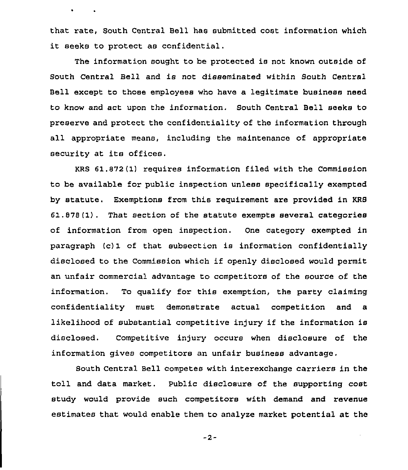that rate, South Central Bell has submitted cost information which it seeks to protect as confidential.

 $\bullet$ 

 $\sim 100$  km s  $^{-1}$ 

The information sought to be protected is not known outside of South Central Bell and is not disseminated within South Central Bell except to those employees who have a legitimate business need to know and act upon the information. South Central Bell seeks to preserve and protect the confidentiality of the information through all appropriate means, including the maintenance of appropriate security at its offices.

KRS 61.872(1) requires information filed with the Commission to be available for public inspection unless specifically exempted by statute. Exemptions from this requirement are provided in KRS 61.878(1). That section of the statute exempts several categories of information from open inspection. One category exempted in paragraph (c) 1 of that subsection is information confidentially disclosed to the Commission which if openly disclosed would permit an unfair commercial advantage to ccmpetitors of the source of the information. To qualify for this exemption, the party claiming confidentiality must demonstrate actual competition and a likelihood of substantial competitive injury if the information is disclosed. Competitive injury occurs when disclosure of the information gives competitors an unfair business advantage.

South central Bell competes with interexchange carriers in the toll and data market. Public disclosure of the supporting cost study would provide such competitors with demand and revenue estimates that would enable them to analyze market potential at the

-2-